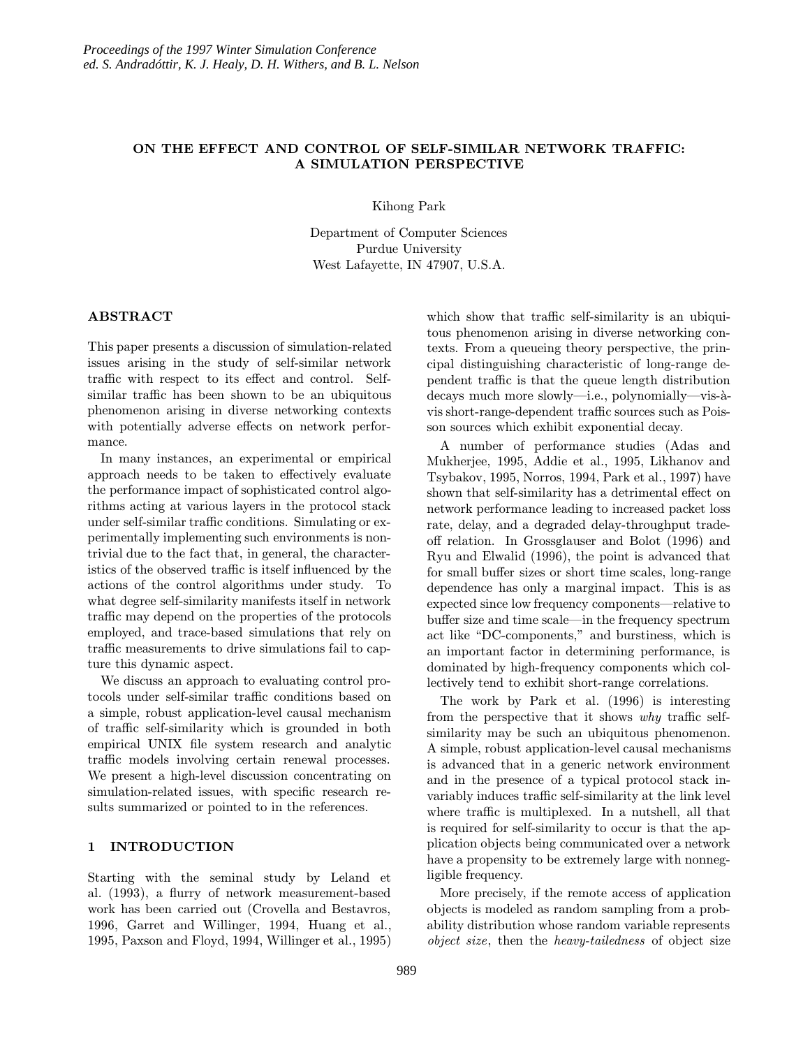# ON THE EFFECT AND CONTROL OF SELF-SIMILAR NETWORK TRAFFIC: A SIMULATION PERSPECTIVE

Kihong Park

Department of Computer Sciences Purdue University West Lafayette, IN 47907, U.S.A.

### ABSTRACT

This paper presents a discussion of simulation-related issues arising in the study of self-similar network traffic with respect to its effect and control. Selfsimilar traffic has been shown to be an ubiquitous phenomenon arising in diverse networking contexts with potentially adverse effects on network performance.

In many instances, an experimental or empirical approach needs to be taken to effectively evaluate the performance impact of sophisticated control algorithms acting at various layers in the protocol stack under self-similar traffic conditions. Simulating or experimentally implementing such environments is nontrivial due to the fact that, in general, the characteristics of the observed traffic is itself influenced by the actions of the control algorithms under study. To what degree self-similarity manifests itself in network traffic may depend on the properties of the protocols employed, and trace-based simulations that rely on traffic measurements to drive simulations fail to capture this dynamic aspect.

We discuss an approach to evaluating control protocols under self-similar traffic conditions based on a simple, robust application-level causal mechanism of traffic self-similarity which is grounded in both empirical UNIX file system research and analytic traffic models involving certain renewal processes. We present a high-level discussion concentrating on simulation-related issues, with specific research results summarized or pointed to in the references.

### 1 INTRODUCTION

Starting with the seminal study by Leland et al. (1993), a flurry of network measurement-based work has been carried out (Crovella and Bestavros, 1996, Garret and Willinger, 1994, Huang et al., 1995, Paxson and Floyd, 1994, Willinger et al., 1995) which show that traffic self-similarity is an ubiquitous phenomenon arising in diverse networking contexts. From a queueing theory perspective, the principal distinguishing characteristic of long-range dependent traffic is that the queue length distribution decays much more slowly—i.e., polynomially—vis-àvis short-range-dependent traffic sources such as Poisson sources which exhibit exponential decay.

A number of performance studies (Adas and Mukherjee, 1995, Addie et al., 1995, Likhanov and Tsybakov, 1995, Norros, 1994, Park et al., 1997) have shown that self-similarity has a detrimental effect on network performance leading to increased packet loss rate, delay, and a degraded delay-throughput tradeoff relation. In Grossglauser and Bolot (1996) and Ryu and Elwalid (1996), the point is advanced that for small buffer sizes or short time scales, long-range dependence has only a marginal impact. This is as expected since low frequency components—relative to buffer size and time scale—in the frequency spectrum act like "DC-components," and burstiness, which is an important factor in determining performance, is dominated by high-frequency components which collectively tend to exhibit short-range correlations.

The work by Park et al. (1996) is interesting from the perspective that it shows why traffic selfsimilarity may be such an ubiquitous phenomenon. A simple, robust application-level causal mechanisms is advanced that in a generic network environment and in the presence of a typical protocol stack invariably induces traffic self-similarity at the link level where traffic is multiplexed. In a nutshell, all that is required for self-similarity to occur is that the application objects being communicated over a network have a propensity to be extremely large with nonnegligible frequency.

More precisely, if the remote access of application objects is modeled as random sampling from a probability distribution whose random variable represents object size, then the heavy-tailedness of object size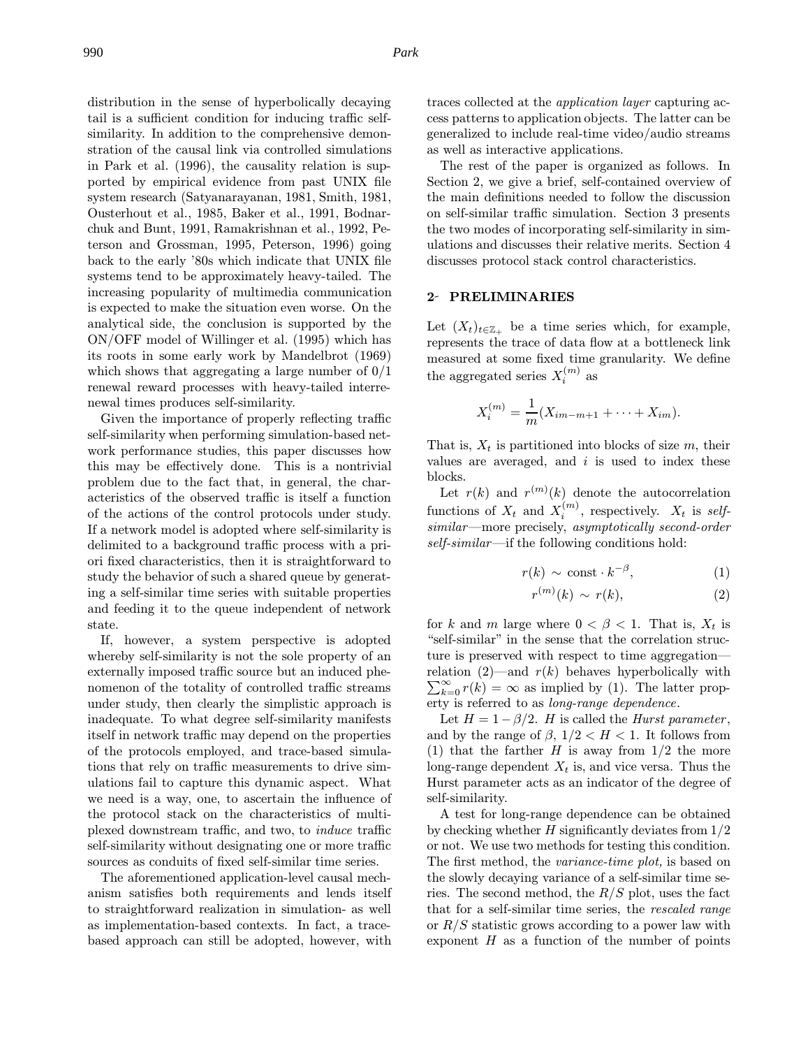distribution in the sense of hyperbolically decaying tail is a sufficient condition for inducing traffic selfsimilarity. In addition to the comprehensive demonstration of the causal link via controlled simulations in Park et al. (1996), the causality relation is supported by empirical evidence from past UNIX file system research (Satyanarayanan, 1981, Smith, 1981, Ousterhout et al., 1985, Baker et al., 1991, Bodnarchuk and Bunt, 1991, Ramakrishnan et al., 1992, Peterson and Grossman, 1995, Peterson, 1996) going back to the early '80s which indicate that UNIX file systems tend to be approximately heavy-tailed. The increasing popularity of multimedia communication is expected to make the situation even worse. On the analytical side, the conclusion is supported by the ON/OFF model of Willinger et al. (1995) which has its roots in some early work by Mandelbrot (1969) which shows that aggregating a large number of  $0/1$ renewal reward processes with heavy-tailed interrenewal times produces self-similarity.

Given the importance of properly reflecting traffic self-similarity when performing simulation-based network performance studies, this paper discusses how this may be effectively done. This is a nontrivial problem due to the fact that, in general, the characteristics of the observed traffic is itself a function of the actions of the control protocols under study. If a network model is adopted where self-similarity is delimited to a background traffic process with a priori fixed characteristics, then it is straightforward to study the behavior of such a shared queue by generating a self-similar time series with suitable properties and feeding it to the queue independent of network state.

If, however, a system perspective is adopted whereby self-similarity is not the sole property of an externally imposed traffic source but an induced phenomenon of the totality of controlled traffic streams under study, then clearly the simplistic approach is inadequate. To what degree self-similarity manifests itself in network traffic may depend on the properties of the protocols employed, and trace-based simulations that rely on traffic measurements to drive simulations fail to capture this dynamic aspect. What we need is a way, one, to ascertain the influence of the protocol stack on the characteristics of multiplexed downstream traffic, and two, to induce traffic self-similarity without designating one or more traffic sources as conduits of fixed self-similar time series.

The aforementioned application-level causal mechanism satisfies both requirements and lends itself to straightforward realization in simulation- as well as implementation-based contexts. In fact, a tracebased approach can still be adopted, however, with

traces collected at the application layer capturing access patterns to application objects. The latter can be generalized to include real-time video/audio streams as well as interactive applications.

The rest of the paper is organized as follows. In Section 2, we give a brief, self-contained overview of the main definitions needed to follow the discussion on self-similar traffic simulation. Section 3 presents the two modes of incorporating self-similarity in simulations and discusses their relative merits. Section 4 discusses protocol stack control characteristics.

### 2 PRELIMINARIES

Let  $(X_t)_{t\in\mathbb{Z}_+}$  be a time series which, for example, represents the trace of data flow at a bottleneck link measured at some fixed time granularity. We define the aggregated series  $X_i^{(m)}$  as

$$
X_i^{(m)} = \frac{1}{m}(X_{im-m+1} + \dots + X_{im}).
$$

That is,  $X_t$  is partitioned into blocks of size m, their values are averaged, and  $i$  is used to index these blocks.

Let  $r(k)$  and  $r^{(m)}(k)$  denote the autocorrelation functions of  $X_t$  and  $X_i^{(m)}$ , respectively.  $X_t$  is selfsimilar—more precisely, asymptotically second-order self-similar—if the following conditions hold:

$$
r(k) \sim \text{const} \cdot k^{-\beta}, \tag{1}
$$

$$
r^{(m)}(k) \sim r(k),\tag{2}
$$

for k and m large where  $0 < \beta < 1$ . That is,  $X_t$  is "self-similar" in the sense that the correlation structure is preserved with respect to time aggregation relation (2)—and  $r(k)$  behaves hyperbolically with  $\sum_{k=1}^{\infty} r(k)$  = 20.85 implied by (1). The latter prop  $\sum_{k=0}^{\infty} r(k) = \infty$  as implied by (1). The latter property is referred to as long-range dependence.

Let  $H = 1 - \beta/2$ . H is called the Hurst parameter, and by the range of  $\beta$ ,  $1/2 < H < 1$ . It follows from (1) that the farther  $H$  is away from  $1/2$  the more long-range dependent  $X_t$  is, and vice versa. Thus the Hurst parameter acts as an indicator of the degree of self-similarity.

A test for long-range dependence can be obtained by checking whether  $H$  significantly deviates from  $1/2$ or not. We use two methods for testing this condition. The first method, the *variance-time* plot, is based on the slowly decaying variance of a self-similar time series. The second method, the  $R/S$  plot, uses the fact that for a self-similar time series, the rescaled range or  $R/S$  statistic grows according to a power law with exponent  $H$  as a function of the number of points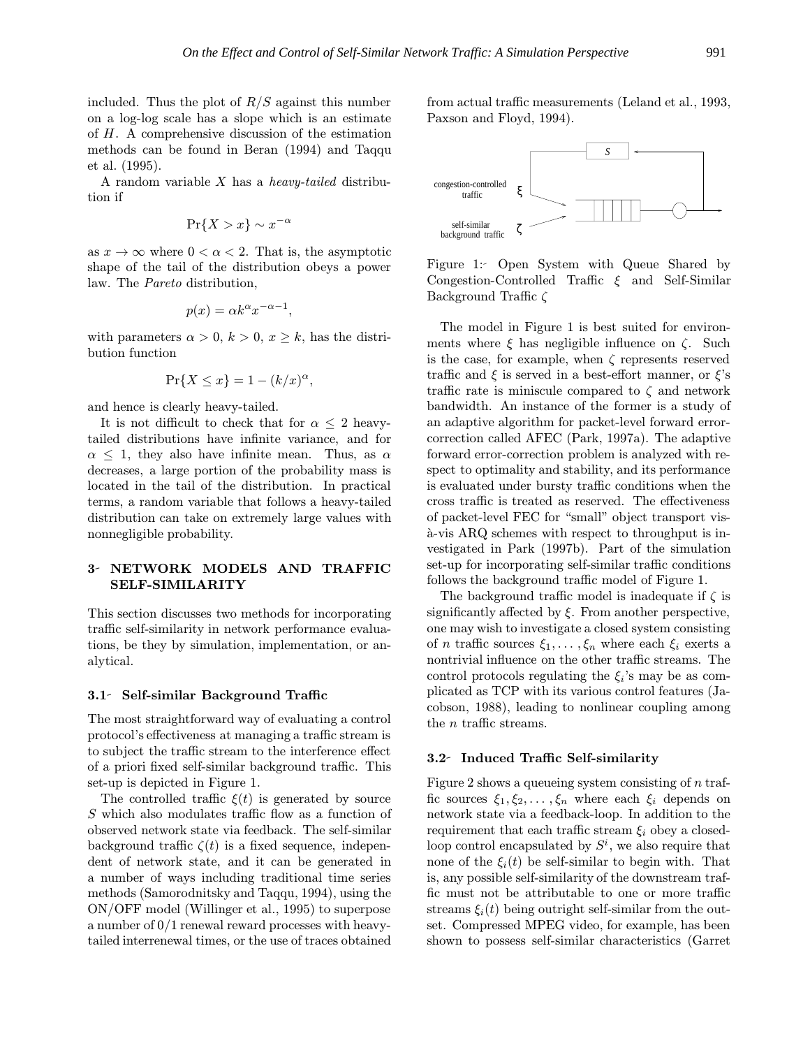included. Thus the plot of  $R/S$  against this number on a log-log scale has a slope which is an estimate of H. A comprehensive discussion of the estimation methods can be found in Beran (1994) and Taqqu et al. (1995).

A random variable  $X$  has a *heavy-tailed* distribution if

$$
\Pr\{X > x\} \sim x^{-\alpha}
$$

as  $x \to \infty$  where  $0 < \alpha < 2$ . That is, the asymptotic shape of the tail of the distribution obeys a power law. The Pareto distribution,

$$
p(x) = \alpha k^{\alpha} x^{-\alpha - 1},
$$

with parameters  $\alpha > 0, k > 0, x \geq k$ , has the distribution function

$$
\Pr\{X \le x\} = 1 - (k/x)^{\alpha},
$$

and hence is clearly heavy-tailed.

It is not difficult to check that for  $\alpha \leq 2$  heavytailed distributions have infinite variance, and for  $\alpha$  < 1, they also have infinite mean. Thus, as  $\alpha$ decreases, a large portion of the probability mass is located in the tail of the distribution. In practical terms, a random variable that follows a heavy-tailed distribution can take on extremely large values with nonnegligible probability.

### 3 NETWORK MODELS AND TRAFFIC SELF-SIMILARITY

This section discusses two methods for incorporating traffic self-similarity in network performance evaluations, be they by simulation, implementation, or analytical.

#### 3.1 Self-similar Background Traffic

The most straightforward way of evaluating a control protocol's effectiveness at managing a traffic stream is to subject the traffic stream to the interference effect of a priori fixed self-similar background traffic. This set-up is depicted in Figure 1.

The controlled traffic  $\xi(t)$  is generated by source S which also modulates traffic flow as a function of observed network state via feedback. The self-similar background traffic  $\zeta(t)$  is a fixed sequence, independent of network state, and it can be generated in a number of ways including traditional time series methods (Samorodnitsky and Taqqu, 1994), using the ON/OFF model (Willinger et al., 1995) to superpose a number of 0/1 renewal reward processes with heavytailed interrenewal times, or the use of traces obtained from actual traffic measurements (Leland et al., 1993, Paxson and Floyd, 1994).



Figure 1: Open System with Queue Shared by Congestion-Controlled Traffic ξ and Self-Similar Background Traffic ζ

The model in Figure 1 is best suited for environments where  $\xi$  has negligible influence on  $\zeta$ . Such is the case, for example, when  $\zeta$  represents reserved traffic and  $\xi$  is served in a best-effort manner, or  $\xi$ 's traffic rate is miniscule compared to  $\zeta$  and network bandwidth. An instance of the former is a study of an adaptive algorithm for packet-level forward errorcorrection called AFEC (Park, 1997a). The adaptive forward error-correction problem is analyzed with respect to optimality and stability, and its performance is evaluated under bursty traffic conditions when the cross traffic is treated as reserved. The effectiveness of packet-level FEC for "small" object transport vis- `a-vis ARQ schemes with respect to throughput is investigated in Park (1997b). Part of the simulation set-up for incorporating self-similar traffic conditions follows the background traffic model of Figure 1.

The background traffic model is inadequate if  $\zeta$  is significantly affected by  $\xi$ . From another perspective, one may wish to investigate a closed system consisting of *n* traffic sources  $\xi_1,\ldots,\xi_n$  where each  $\xi_i$  exerts a nontrivial influence on the other traffic streams. The control protocols regulating the  $\xi_i$ 's may be as complicated as TCP with its various control features (Jacobson, 1988), leading to nonlinear coupling among the n traffic streams.

#### 3.2 Induced Traffic Self-similarity

Figure 2 shows a queueing system consisting of n traffic sources  $\xi_1, \xi_2, \ldots, \xi_n$  where each  $\xi_i$  depends on network state via a feedback-loop. In addition to the requirement that each traffic stream  $\xi_i$  obey a closedloop control encapsulated by  $S^i$ , we also require that none of the  $\xi_i(t)$  be self-similar to begin with. That is, any possible self-similarity of the downstream traffic must not be attributable to one or more traffic streams  $\xi_i(t)$  being outright self-similar from the outset. Compressed MPEG video, for example, has been shown to possess self-similar characteristics (Garret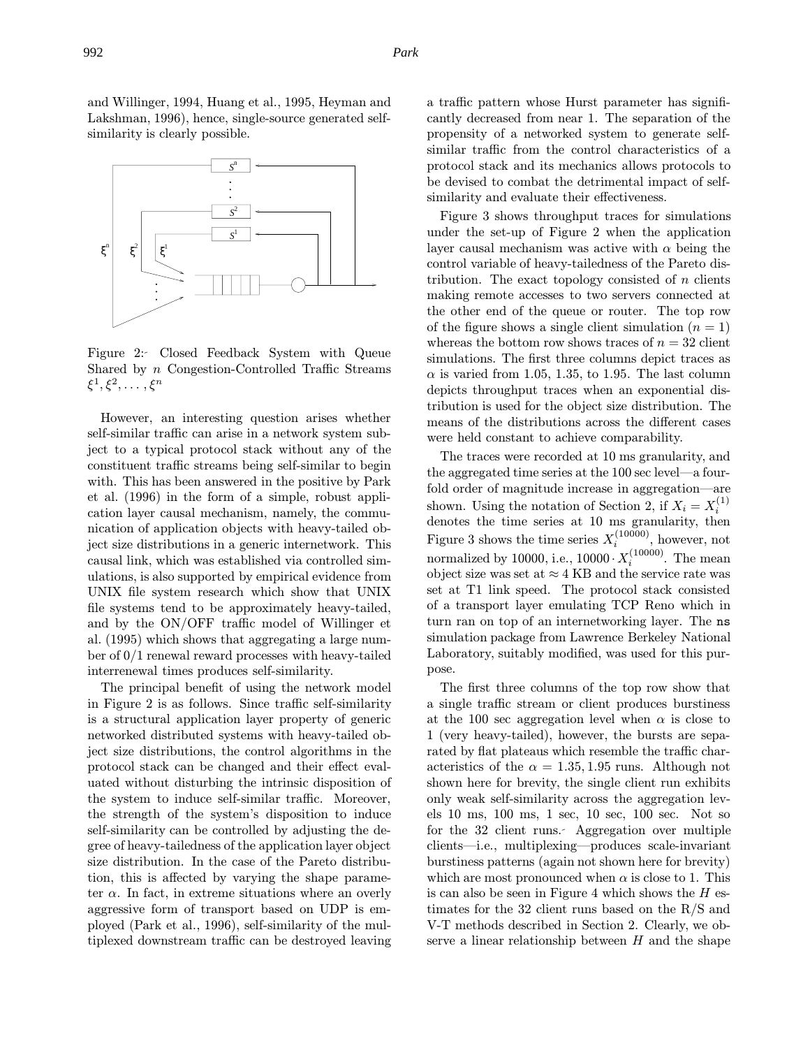and Willinger, 1994, Huang et al., 1995, Heyman and Lakshman, 1996), hence, single-source generated selfsimilarity is clearly possible.



Figure 2: Closed Feedback System with Queue Shared by n Congestion-Controlled Traffic Streams  $\xi^1, \xi^2, \ldots, \xi^n$ 

However, an interesting question arises whether self-similar traffic can arise in a network system subject to a typical protocol stack without any of the constituent traffic streams being self-similar to begin with. This has been answered in the positive by Park et al. (1996) in the form of a simple, robust application layer causal mechanism, namely, the communication of application objects with heavy-tailed object size distributions in a generic internetwork. This causal link, which was established via controlled simulations, is also supported by empirical evidence from UNIX file system research which show that UNIX file systems tend to be approximately heavy-tailed, and by the ON/OFF traffic model of Willinger et al. (1995) which shows that aggregating a large number of 0/1 renewal reward processes with heavy-tailed interrenewal times produces self-similarity.

The principal benefit of using the network model in Figure 2 is as follows. Since traffic self-similarity is a structural application layer property of generic networked distributed systems with heavy-tailed object size distributions, the control algorithms in the protocol stack can be changed and their effect evaluated without disturbing the intrinsic disposition of the system to induce self-similar traffic. Moreover, the strength of the system's disposition to induce self-similarity can be controlled by adjusting the degree of heavy-tailedness of the application layer object size distribution. In the case of the Pareto distribution, this is affected by varying the shape parameter  $\alpha$ . In fact, in extreme situations where an overly aggressive form of transport based on UDP is employed (Park et al., 1996), self-similarity of the multiplexed downstream traffic can be destroyed leaving

a traffic pattern whose Hurst parameter has significantly decreased from near 1. The separation of the propensity of a networked system to generate selfsimilar traffic from the control characteristics of a protocol stack and its mechanics allows protocols to be devised to combat the detrimental impact of selfsimilarity and evaluate their effectiveness.

Figure 3 shows throughput traces for simulations under the set-up of Figure 2 when the application layer causal mechanism was active with  $\alpha$  being the control variable of heavy-tailedness of the Pareto distribution. The exact topology consisted of  $n$  clients making remote accesses to two servers connected at the other end of the queue or router. The top row of the figure shows a single client simulation  $(n = 1)$ whereas the bottom row shows traces of  $n = 32$  client simulations. The first three columns depict traces as  $\alpha$  is varied from 1.05, 1.35, to 1.95. The last column depicts throughput traces when an exponential distribution is used for the object size distribution. The means of the distributions across the different cases were held constant to achieve comparability.

The traces were recorded at 10 ms granularity, and the aggregated time series at the 100 sec level—a fourfold order of magnitude increase in aggregation—are shown. Using the notation of Section 2, if  $X_i = X_i^{(1)}$ denotes the time series at 10 ms granularity, then Figure 3 shows the time series  $X_i^{(10000)}$ , however, not normalized by 10000, i.e., 10000 $\cdot$   $X_i^{(10000)}$ . The mean object size was set at  $\approx$  4 KB and the service rate was set at T1 link speed. The protocol stack consisted of a transport layer emulating TCP Reno which in turn ran on top of an internetworking layer. The ns simulation package from Lawrence Berkeley National Laboratory, suitably modified, was used for this purpose.

The first three columns of the top row show that a single traffic stream or client produces burstiness at the 100 sec aggregation level when  $\alpha$  is close to 1 (very heavy-tailed), however, the bursts are separated by flat plateaus which resemble the traffic characteristics of the  $\alpha = 1.35, 1.95$  runs. Although not shown here for brevity, the single client run exhibits only weak self-similarity across the aggregation levels 10 ms, 100 ms, 1 sec, 10 sec, 100 sec. Not so for the 32 client runs. Aggregation over multiple clients—i.e., multiplexing—produces scale-invariant burstiness patterns (again not shown here for brevity) which are most pronounced when  $\alpha$  is close to 1. This is can also be seen in Figure 4 which shows the  $H$  estimates for the 32 client runs based on the R/S and V-T methods described in Section 2. Clearly, we observe a linear relationship between  $H$  and the shape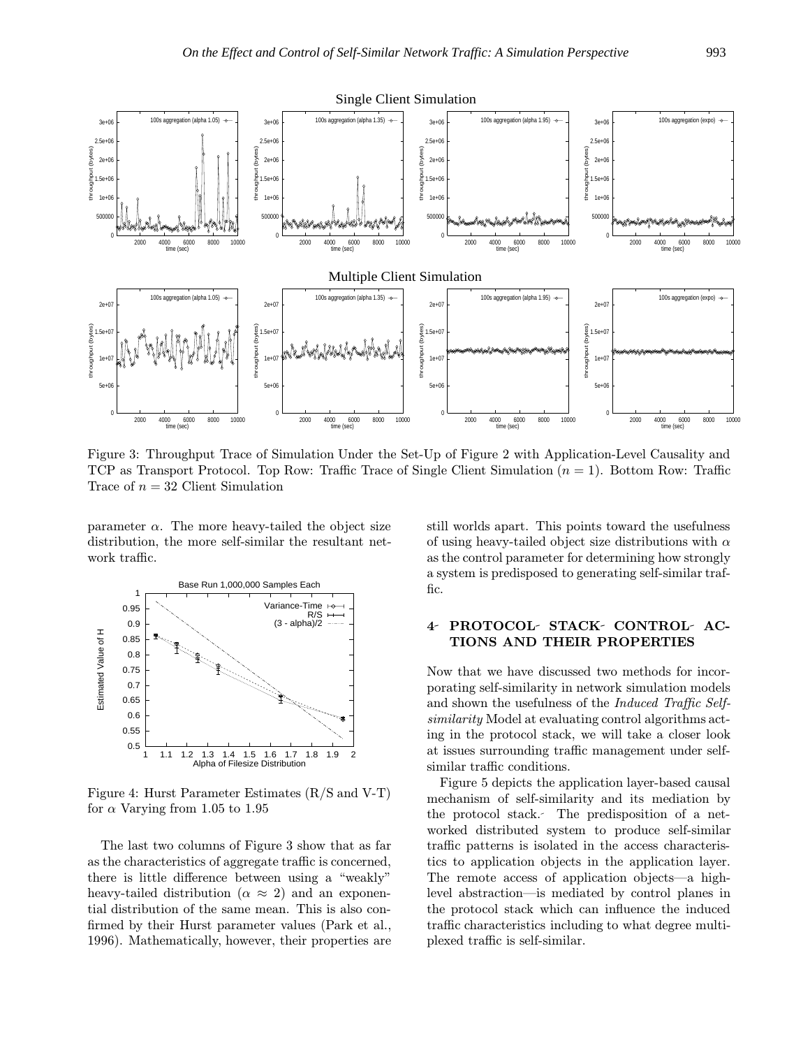

Figure 3: Throughput Trace of Simulation Under the Set-Up of Figure 2 with Application-Level Causality and TCP as Transport Protocol. Top Row: Traffic Trace of Single Client Simulation  $(n = 1)$ . Bottom Row: Traffic Trace of  $n = 32$  Client Simulation

parameter  $\alpha$ . The more heavy-tailed the object size distribution, the more self-similar the resultant network traffic.



Figure 4: Hurst Parameter Estimates (R/S and V-T) for  $\alpha$  Varying from 1.05 to 1.95

The last two columns of Figure 3 show that as far as the characteristics of aggregate traffic is concerned, there is little difference between using a "weakly" heavy-tailed distribution ( $\alpha \approx 2$ ) and an exponential distribution of the same mean. This is also confirmed by their Hurst parameter values (Park et al., 1996). Mathematically, however, their properties are still worlds apart. This points toward the usefulness of using heavy-tailed object size distributions with  $\alpha$ as the control parameter for determining how strongly a system is predisposed to generating self-similar traffic.

# 4 PROTOCOL STACK CONTROL AC-TIONS AND THEIR PROPERTIES

Now that we have discussed two methods for incorporating self-similarity in network simulation models and shown the usefulness of the Induced Traffic Selfsimilarity Model at evaluating control algorithms acting in the protocol stack, we will take a closer look at issues surrounding traffic management under selfsimilar traffic conditions.

Figure 5 depicts the application layer-based causal mechanism of self-similarity and its mediation by the protocol stack. The predisposition of a networked distributed system to produce self-similar traffic patterns is isolated in the access characteristics to application objects in the application layer. The remote access of application objects—a highlevel abstraction—is mediated by control planes in the protocol stack which can influence the induced traffic characteristics including to what degree multiplexed traffic is self-similar.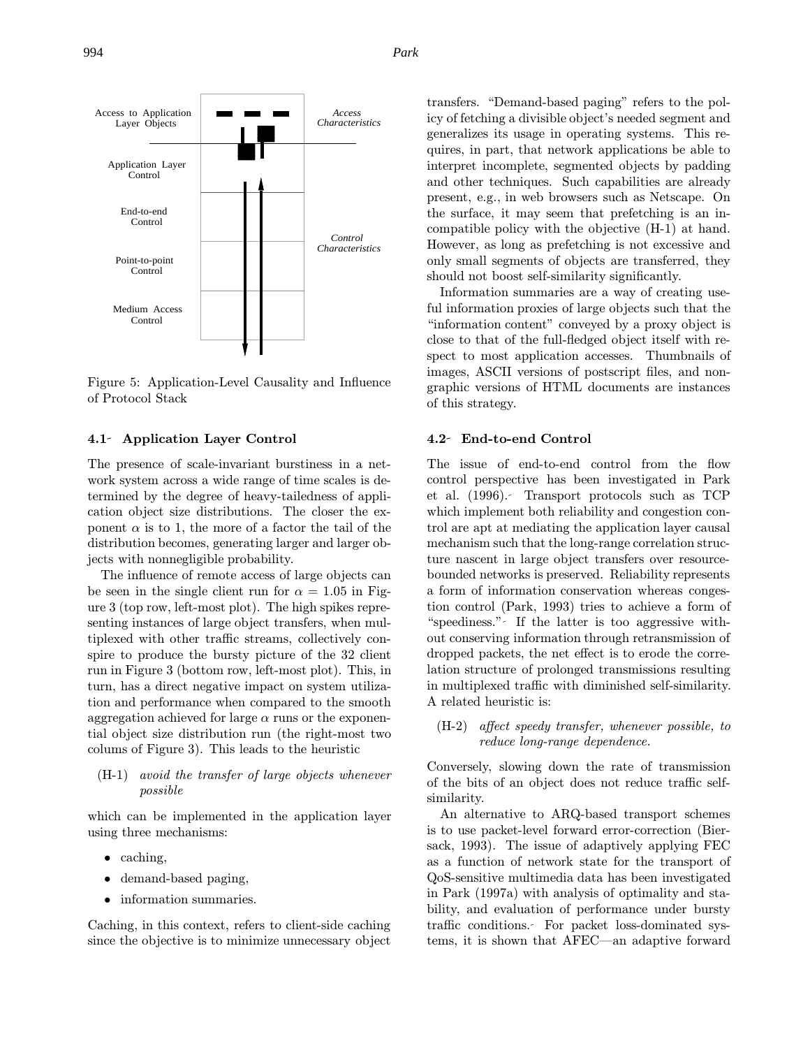Figure 5: Application-Level Causality and Influence of Protocol Stack

#### 4.1 Application Layer Control

The presence of scale-invariant burstiness in a network system across a wide range of time scales is determined by the degree of heavy-tailedness of application object size distributions. The closer the exponent  $\alpha$  is to 1, the more of a factor the tail of the distribution becomes, generating larger and larger objects with nonnegligible probability.

The influence of remote access of large objects can be seen in the single client run for  $\alpha = 1.05$  in Figure 3 (top row, left-most plot). The high spikes representing instances of large object transfers, when multiplexed with other traffic streams, collectively conspire to produce the bursty picture of the 32 client run in Figure 3 (bottom row, left-most plot). This, in turn, has a direct negative impact on system utilization and performance when compared to the smooth aggregation achieved for large  $\alpha$  runs or the exponential object size distribution run (the right-most two colums of Figure 3). This leads to the heuristic

### (H-1) avoid the transfer of large objects whenever possible

which can be implemented in the application layer using three mechanisms:

- caching,
- demand-based paging,
- information summaries.

Caching, in this context, refers to client-side caching since the objective is to minimize unnecessary object transfers. "Demand-based paging" refers to the policy of fetching a divisible object's needed segment and generalizes its usage in operating systems. This requires, in part, that network applications be able to interpret incomplete, segmented objects by padding and other techniques. Such capabilities are already present, e.g., in web browsers such as Netscape. On the surface, it may seem that prefetching is an incompatible policy with the objective (H-1) at hand. However, as long as prefetching is not excessive and only small segments of objects are transferred, they should not boost self-similarity significantly.

Information summaries are a way of creating useful information proxies of large objects such that the "information content" conveyed by a proxy object is close to that of the full-fledged object itself with respect to most application accesses. Thumbnails of images, ASCII versions of postscript files, and nongraphic versions of HTML documents are instances of this strategy.

#### 4.2 End-to-end Control

The issue of end-to-end control from the flow control perspective has been investigated in Park et al. (1996). Transport protocols such as TCP which implement both reliability and congestion control are apt at mediating the application layer causal mechanism such that the long-range correlation structure nascent in large object transfers over resourcebounded networks is preserved. Reliability represents a form of information conservation whereas congestion control (Park, 1993) tries to achieve a form of "speediness." If the latter is too aggressive without conserving information through retransmission of dropped packets, the net effect is to erode the correlation structure of prolonged transmissions resulting in multiplexed traffic with diminished self-similarity. A related heuristic is:

## (H-2) affect speedy transfer, whenever possible, to reduce long-range dependence.

Conversely, slowing down the rate of transmission of the bits of an object does not reduce traffic selfsimilarity.

An alternative to ARQ-based transport schemes is to use packet-level forward error-correction (Biersack, 1993). The issue of adaptively applying FEC as a function of network state for the transport of QoS-sensitive multimedia data has been investigated in Park (1997a) with analysis of optimality and stability, and evaluation of performance under bursty traffic conditions. For packet loss-dominated systems, it is shown that AFEC—an adaptive forward

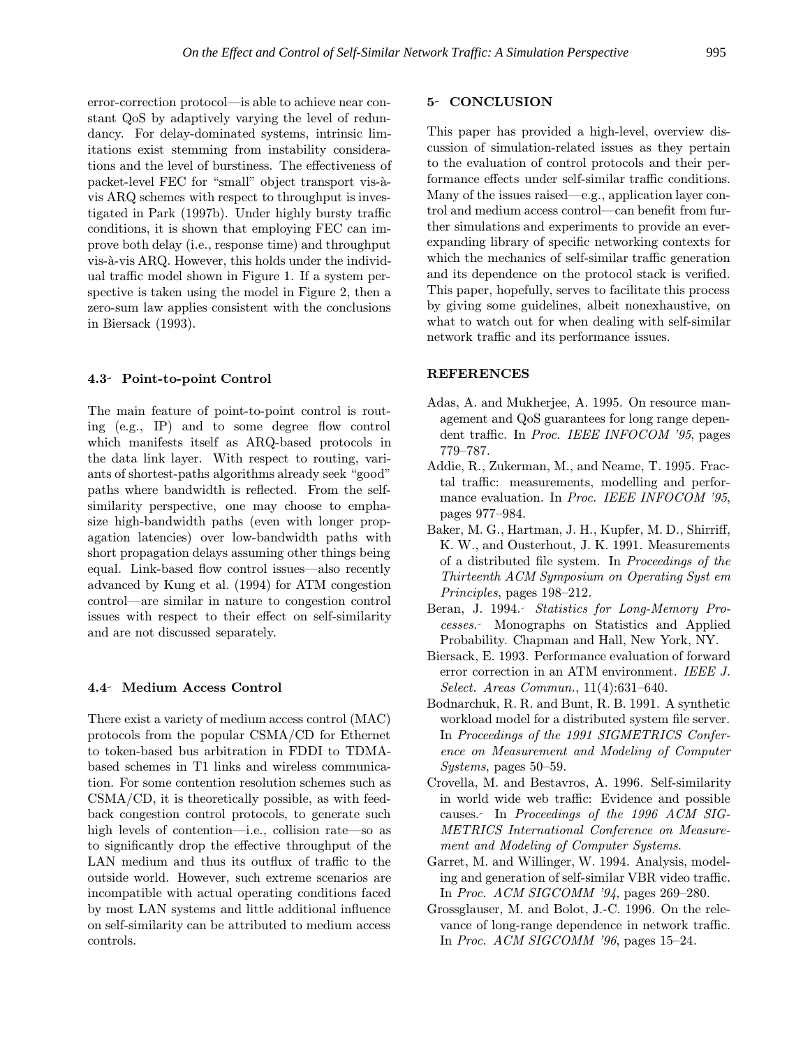error-correction protocol—is able to achieve near constant QoS by adaptively varying the level of redundancy. For delay-dominated systems, intrinsic limitations exist stemming from instability considerations and the level of burstiness. The effectiveness of packet-level FEC for "small" object transport vis-àvis ARQ schemes with respect to throughput is investigated in Park (1997b). Under highly bursty traffic conditions, it is shown that employing FEC can improve both delay (i.e., response time) and throughput vis-à-vis ARQ. However, this holds under the individual traffic model shown in Figure 1. If a system perspective is taken using the model in Figure 2, then a zero-sum law applies consistent with the conclusions in Biersack (1993).

#### 4.3 Point-to-point Control

The main feature of point-to-point control is routing (e.g., IP) and to some degree flow control which manifests itself as ARQ-based protocols in the data link layer. With respect to routing, variants of shortest-paths algorithms already seek "good" paths where bandwidth is reflected. From the selfsimilarity perspective, one may choose to emphasize high-bandwidth paths (even with longer propagation latencies) over low-bandwidth paths with short propagation delays assuming other things being equal. Link-based flow control issues—also recently advanced by Kung et al. (1994) for ATM congestion control—are similar in nature to congestion control issues with respect to their effect on self-similarity and are not discussed separately.

#### 4.4 Medium Access Control

There exist a variety of medium access control (MAC) protocols from the popular CSMA/CD for Ethernet to token-based bus arbitration in FDDI to TDMAbased schemes in T1 links and wireless communication. For some contention resolution schemes such as CSMA/CD, it is theoretically possible, as with feedback congestion control protocols, to generate such high levels of contention—i.e., collision rate—so as to significantly drop the effective throughput of the LAN medium and thus its outflux of traffic to the outside world. However, such extreme scenarios are incompatible with actual operating conditions faced by most LAN systems and little additional influence on self-similarity can be attributed to medium access controls.

## 5- CONCLUSION

This paper has provided a high-level, overview discussion of simulation-related issues as they pertain to the evaluation of control protocols and their performance effects under self-similar traffic conditions. Many of the issues raised—e.g., application layer control and medium access control—can benefit from further simulations and experiments to provide an everexpanding library of specific networking contexts for which the mechanics of self-similar traffic generation and its dependence on the protocol stack is verified. This paper, hopefully, serves to facilitate this process by giving some guidelines, albeit nonexhaustive, on what to watch out for when dealing with self-similar network traffic and its performance issues.

#### REFERENCES

- Adas, A. and Mukherjee, A. 1995. On resource management and QoS guarantees for long range dependent traffic. In Proc. IEEE INFOCOM '95, pages 779–787.
- Addie, R., Zukerman, M., and Neame, T. 1995. Fractal traffic: measurements, modelling and performance evaluation. In Proc. IEEE INFOCOM '95, pages 977–984.
- Baker, M. G., Hartman, J. H., Kupfer, M. D., Shirriff, K. W., and Ousterhout, J. K. 1991. Measurements of a distributed file system. In Proceedings of the Thirteenth ACM Symposium on Operating Syst em Principles, pages 198–212.
- Beran, J. 1994. Statistics for Long-Memory Processes. Monographs on Statistics and Applied Probability. Chapman and Hall, New York, NY.
- Biersack, E. 1993. Performance evaluation of forward error correction in an ATM environment. IEEE J. Select. Areas Commun., 11(4):631–640.
- Bodnarchuk, R. R. and Bunt, R. B. 1991. A synthetic workload model for a distributed system file server. In Proceedings of the 1991 SIGMETRICS Conference on Measurement and Modeling of Computer Systems, pages 50–59.
- Crovella, M. and Bestavros, A. 1996. Self-similarity in world wide web traffic: Evidence and possible causes. In Proceedings of the 1996 ACM SIG-METRICS International Conference on Measurement and Modeling of Computer Systems.
- Garret, M. and Willinger, W. 1994. Analysis, modeling and generation of self-similar VBR video traffic. In Proc. ACM SIGCOMM '94, pages 269–280.
- Grossglauser, M. and Bolot, J.-C. 1996. On the relevance of long-range dependence in network traffic. In Proc. ACM SIGCOMM '96, pages 15–24.